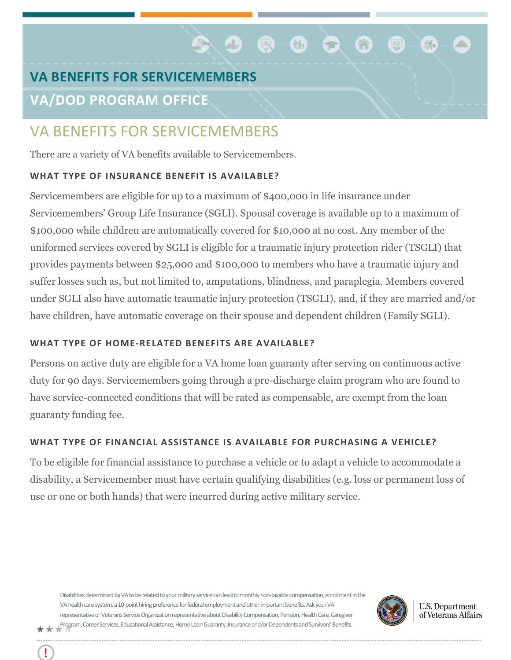# **VA BENEFITS FOR SERVICEMEMBERS VA/DOD PROGRAM OFFICE**

## VA BENEFITS FOR SERVICEMEMBERS

There are a variety of VA benefits available to Servicemembers.

### **WHAT TYPE OF INSURANCE BENEFIT IS AVAILABLE?**

Servicemembers are eligible for up to a maximum of \$400,000 in life insurance under Servicemembers' Group Life Insurance (SGLI). Spousal coverage is available up to a maximum of \$100,000 while children are automatically covered for \$10,000 at no cost. Any member of the uniformed services covered by SGLI is eligible for a traumatic injury protection rider (TSGLI) that provides payments between \$25,000 and \$100,000 to members who have a traumatic injury and suffer losses such as, but not limited to, amputations, blindness, and paraplegia. Members covered under SGLI also have automatic traumatic injury protection (TSGLI), and, if they are married and/or have children, have automatic coverage on their spouse and dependent children (Family SGLI).

**C. 9-Q-M-C** 

## **WHAT TYPE OF HOME‐RELATED BENEFITS ARE AVAILABLE?**

Persons on active duty are eligible for a VA home loan guaranty after serving on continuous active duty for 90 days. Servicemembers going through a pre-discharge claim program who are found to have service-connected conditions that will be rated as compensable, are exempt from the loan guaranty funding fee.

## **WHAT TYPE OF FINANCIAL ASSISTANCE IS AVAILABLE FOR PURCHASING A VEHICLE?**

To be eligible for financial assistance to purchase a vehicle or to adapt a vehicle to accommodate a disability, a Servicemember must have certain qualifying disabilities (e.g. loss or permanent loss of use or one or both hands) that were incurred during active military service.

Disabilities determined by VA to be related to your military service can lead to monthly non-taxable compensation, enrollment in the VA health care system, a 10-point hiring preference for federal employment and other important benefits. Ask your VA representative or Veterans Service Organization representative about Disability Compensation, Pension, Health Care, Caregiver Program, Career Services, Educational Assistance, Home Loan Guaranty, Insurance and/or Dependents and Survivors' Benefits.



**U.S. Department** of Veterans Affairs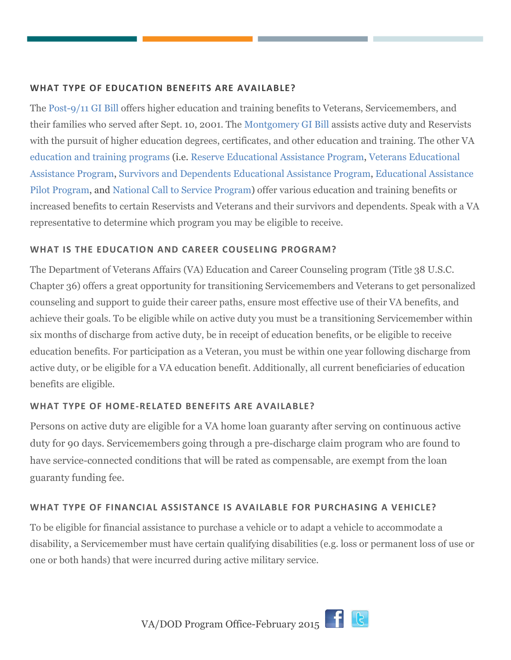#### **WHAT TYPE OF EDUCATION BENEFITS ARE AVAILABLE?**

The [Post-9/11 GI Bill](http://www.benefits.va.gov/gibill/post911_gibill.asp) offers higher education and training benefits to Veterans, Servicemembers, and their families who served after Sept. 10, 2001. The [Montgomery G](http://www.benefits.va.gov/gibill/montgomery_bill.asp)I Bill assists active duty and Reservists with the pursuit of higher education degrees, certificates, and other education and training. The other VA [education and training programs](http://www.benefits.va.gov/gibill/education_programs.asp) (i.e. [Reserve Educational Assistance Program,](http://www.benefits.va.gov/gibill/reap.asp) [Veterans Educational](http://www.benefits.va.gov/gibill/veap.asp) [Assistance Program,](http://www.benefits.va.gov/gibill/veap.asp) [Survivors and Dependents Educational Assistance Program,](http://www.benefits.va.gov/gibill/survivor_dependent_assistance.asp) [Educational Assistance](http://www.benefits.va.gov/gibill/national_testing.asp) [Pilot Program,](http://www.benefits.va.gov/gibill/national_testing.asp) and [National Call to Service Program\)](http://www.benefits.va.gov/gibill/national_call_to_service.asp) offer various education and training benefits or increased benefits to certain Reservists and Veterans and their survivors and dependents. Speak with a VA representative to determine which program you may be eligible to receive.

#### **WHAT IS THE EDUCATION AND CAREER COUSELING PROGRAM?**

The Department of Veterans Affairs (VA) Education and Career Counseling program (Title 38 U.S.C. Chapter 36) offers a great opportunity for transitioning Servicemembers and Veterans to get personalized counseling and support to guide their career paths, ensure most effective use of their VA benefits, and achieve their goals. To be eligible while on active duty you must be a transitioning Servicemember within six months of discharge from active duty, be in receipt of education benefits, or be eligible to receive education benefits. For participation as a Veteran, you must be within one year following discharge from active duty, or be eligible for a VA education benefit. Additionally, all current beneficiaries of education benefits are eligible.

#### **WHAT TYPE OF HOME‐RELATED BENEFITS ARE AVAILABLE?**

Persons on active duty are eligible for a VA home loan guaranty after serving on continuous active duty for 90 days. Servicemembers going through a pre-discharge claim program who are found to have service-connected conditions that will be rated as compensable, are exempt from the loan guaranty funding fee.

#### **WHAT TYPE OF FINANCIAL ASSISTANCE IS AVAILABLE FOR PURCHASING A VEHICLE?**

To be eligible for financial assistance to purchase a vehicle or to adapt a vehicle to accommodate a disability, a Servicemember must have certain qualifying disabilities (e.g. loss or permanent loss of use or one or both hands) that were incurred during active military service.